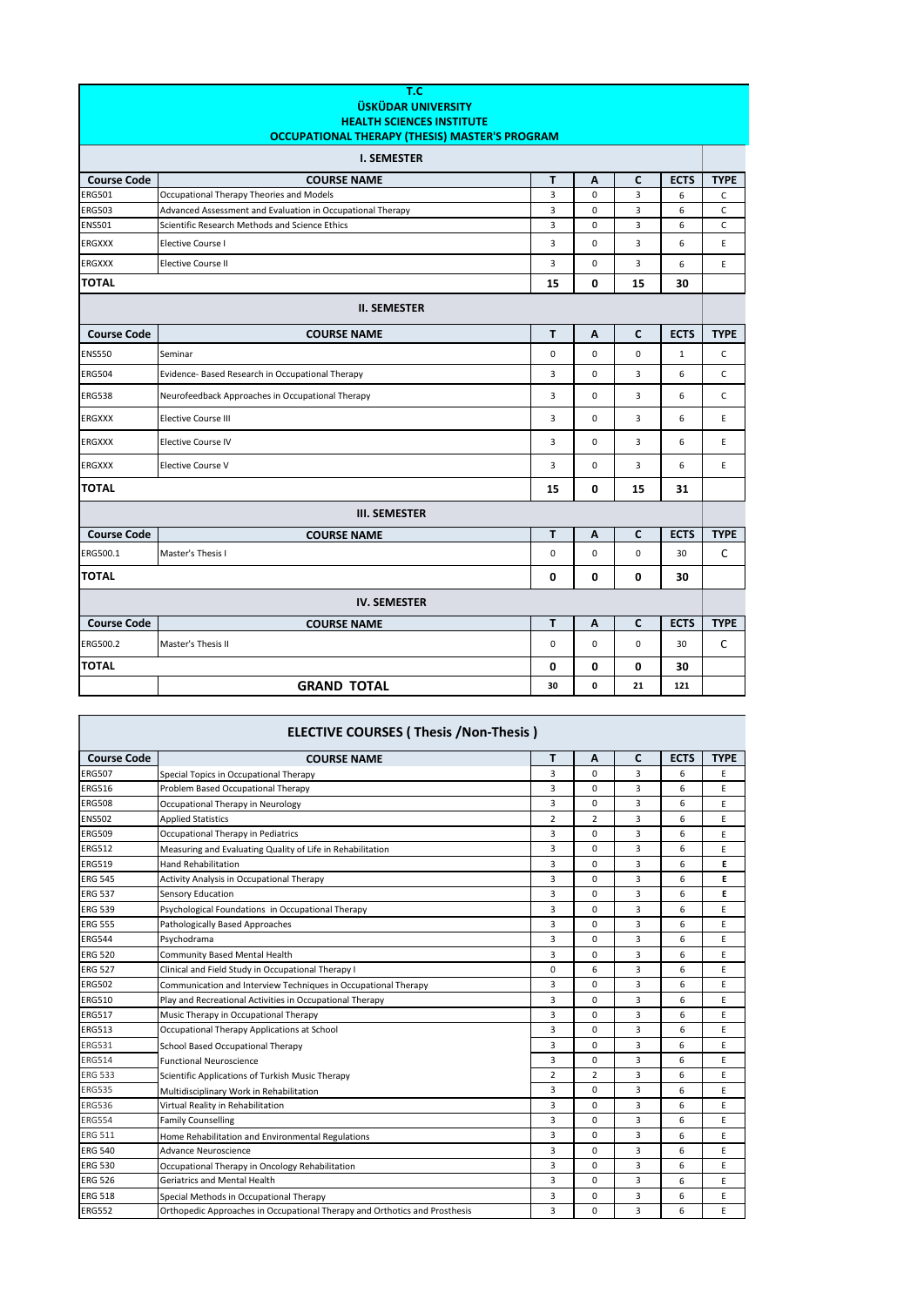| T.C<br><b>ÜSKÜDAR UNIVERSITY</b><br><b>HEALTH SCIENCES INSTITUTE</b><br>OCCUPATIONAL THERAPY (THESIS) MASTER'S PROGRAM |                                                            |                |             |              |              |             |  |
|------------------------------------------------------------------------------------------------------------------------|------------------------------------------------------------|----------------|-------------|--------------|--------------|-------------|--|
|                                                                                                                        | <b>I. SEMESTER</b>                                         |                |             |              |              |             |  |
| <b>Course Code</b>                                                                                                     | <b>COURSE NAME</b>                                         | т              | Α           | C            | <b>ECTS</b>  | <b>TYPE</b> |  |
| <b>ERG501</b>                                                                                                          | Occupational Therapy Theories and Models                   | $\overline{3}$ | $\mathbf 0$ | 3            | 6            | C           |  |
| <b>ERG503</b>                                                                                                          | Advanced Assessment and Evaluation in Occupational Therapy | 3              | 0           | 3            | 6            | $\mathsf C$ |  |
| <b>ENS501</b>                                                                                                          | Scientific Research Methods and Science Ethics             | 3              | 0           | 3            | 6            | $\mathsf C$ |  |
| <b>ERGXXX</b>                                                                                                          | <b>Elective Course I</b>                                   | 3              | $\mathbf 0$ | 3            | 6            | E           |  |
| <b>ERGXXX</b>                                                                                                          | <b>Elective Course II</b>                                  | 3              | 0           | 3            | 6            | E           |  |
| <b>TOTAL</b>                                                                                                           |                                                            | 15             | 0           | 15           | 30           |             |  |
| <b>II. SEMESTER</b>                                                                                                    |                                                            |                |             |              |              |             |  |
| <b>Course Code</b>                                                                                                     | <b>COURSE NAME</b>                                         | T              | A           | $\mathbf{C}$ | <b>ECTS</b>  | <b>TYPE</b> |  |
| <b>ENS550</b>                                                                                                          | Seminar                                                    | $\mathbf 0$    | 0           | $\mathbf 0$  | $\mathbf{1}$ | C           |  |
| <b>ERG504</b>                                                                                                          | Evidence- Based Research in Occupational Therapy           | 3              | 0           | 3            | 6            | C           |  |
| <b>ERG538</b>                                                                                                          | Neurofeedback Approaches in Occupational Therapy           | 3              | 0           | 3            | 6            | C           |  |
| <b>ERGXXX</b>                                                                                                          | <b>Elective Course III</b>                                 | 3              | 0           | 3            | 6            | E           |  |
| <b>ERGXXX</b>                                                                                                          | <b>Elective Course IV</b>                                  | $\overline{3}$ | $\Omega$    | 3            | 6            | E           |  |
| ERGXXX                                                                                                                 | <b>Elective Course V</b>                                   | 3              | 0           | 3            | 6            | E           |  |
| <b>TOTAL</b>                                                                                                           |                                                            | 15             | 0           | 15           | 31           |             |  |
| <b>III. SEMESTER</b>                                                                                                   |                                                            |                |             |              |              |             |  |
| <b>Course Code</b>                                                                                                     | <b>COURSE NAME</b>                                         | T              | A           | C            | <b>ECTS</b>  | <b>TYPE</b> |  |
| ERG500.1                                                                                                               | Master's Thesis I                                          | $\mathbf 0$    | 0           | $\mathbf 0$  | 30           | C           |  |
| <b>TOTAL</b>                                                                                                           |                                                            | 0              | 0           | 0            | 30           |             |  |
| <b>IV. SEMESTER</b>                                                                                                    |                                                            |                |             |              |              |             |  |
| <b>Course Code</b>                                                                                                     | <b>COURSE NAME</b>                                         | T              | A           | C            | <b>ECTS</b>  | <b>TYPE</b> |  |
| ERG500.2                                                                                                               | Master's Thesis II                                         | 0              | 0           | $\mathbf 0$  | 30           | C           |  |
| <b>TOTAL</b>                                                                                                           |                                                            | 0              | 0           | 0            | 30           |             |  |
|                                                                                                                        | <b>GRAND TOTAL</b>                                         | 30             | 0           | 21           | 121          |             |  |

| <b>ELECTIVE COURSES (Thesis /Non-Thesis)</b> |                                                                            |                |                |   |             |             |  |  |
|----------------------------------------------|----------------------------------------------------------------------------|----------------|----------------|---|-------------|-------------|--|--|
| <b>Course Code</b>                           | <b>COURSE NAME</b>                                                         | T              | Α              | C | <b>ECTS</b> | <b>TYPE</b> |  |  |
| <b>ERG507</b>                                | Special Topics in Occupational Therapy                                     | 3              | $\Omega$       | 3 | 6           | E           |  |  |
| <b>ERG516</b>                                | Problem Based Occupational Therapy                                         | 3              | $\Omega$       | 3 | 6           | E           |  |  |
| <b>ERG508</b>                                | Occupational Therapy in Neurology                                          | 3              | 0              | 3 | 6           | E           |  |  |
| <b>ENS502</b>                                | <b>Applied Statistics</b>                                                  | $\overline{2}$ | $\overline{2}$ | 3 | 6           | E           |  |  |
| <b>ERG509</b>                                | Occupational Therapy in Pediatrics                                         | 3              | 0              | 3 | 6           | E           |  |  |
| <b>ERG512</b>                                | Measuring and Evaluating Quality of Life in Rehabilitation                 | 3              | 0              | 3 | 6           | E           |  |  |
| <b>ERG519</b>                                | <b>Hand Rehabilitation</b>                                                 | 3              | 0              | 3 | 6           | E           |  |  |
| <b>ERG 545</b>                               | Activity Analysis in Occupational Therapy                                  | 3              | 0              | 3 | 6           | E           |  |  |
| <b>ERG 537</b>                               | Sensory Education                                                          | 3              | 0              | 3 | 6           | E           |  |  |
| <b>ERG 539</b>                               | Psychological Foundations in Occupational Therapy                          | 3              | $\Omega$       | 3 | 6           | E           |  |  |
| <b>ERG 555</b>                               | Pathologically Based Approaches                                            | 3              | 0              | 3 | 6           | E           |  |  |
| <b>ERG544</b>                                | Psychodrama                                                                | 3              | 0              | 3 | 6           | E           |  |  |
| <b>ERG 520</b>                               | Community Based Mental Health                                              | 3              | $\Omega$       | 3 | 6           | E           |  |  |
| <b>ERG 527</b>                               | Clinical and Field Study in Occupational Therapy I                         | 0              | 6              | 3 | 6           | E           |  |  |
| <b>ERG502</b>                                | Communication and Interview Techniques in Occupational Therapy             | 3              | 0              | 3 | 6           | E           |  |  |
| <b>ERG510</b>                                | Play and Recreational Activities in Occupational Therapy                   | 3              | $\Omega$       | 3 | 6           | E           |  |  |
| <b>ERG517</b>                                | Music Therapy in Occupational Therapy                                      | 3              | $\Omega$       | 3 | 6           | E           |  |  |
| <b>ERG513</b>                                | Occupational Therapy Applications at School                                | 3              | 0              | 3 | 6           | E           |  |  |
| <b>ERG531</b>                                | School Based Occupational Therapy                                          | 3              | 0              | 3 | 6           | E           |  |  |
| <b>ERG514</b>                                | <b>Functional Neuroscience</b>                                             | 3              | 0              | 3 | 6           | E           |  |  |
| <b>ERG 533</b>                               | Scientific Applications of Turkish Music Therapy                           | $\overline{2}$ | $\overline{2}$ | 3 | 6           | E           |  |  |
| <b>ERG535</b>                                | Multidisciplinary Work in Rehabilitation                                   | 3              | 0              | 3 | 6           | E           |  |  |
| <b>ERG536</b>                                | Virtual Reality in Rehabilitation                                          | 3              | $\Omega$       | 3 | 6           | E           |  |  |
| <b>ERG554</b>                                | <b>Family Counselling</b>                                                  | 3              | 0              | 3 | 6           | E           |  |  |
| <b>ERG 511</b>                               | Home Rehabilitation and Environmental Regulations                          | 3              | $\Omega$       | 3 | 6           | Ε           |  |  |
| <b>ERG 540</b>                               | Advance Neuroscience                                                       | 3              | $\Omega$       | 3 | 6           | E           |  |  |
| <b>ERG 530</b>                               | Occupational Therapy in Oncology Rehabilitation                            | 3              | $\Omega$       | 3 | 6           | E           |  |  |
| <b>ERG 526</b>                               | <b>Geriatrics and Mental Health</b>                                        | 3              | $\Omega$       | 3 | 6           | E           |  |  |
| <b>ERG 518</b>                               | Special Methods in Occupational Therapy                                    | 3              | 0              | 3 | 6           | E           |  |  |
| <b>ERG552</b>                                | Orthopedic Approaches in Occupational Therapy and Orthotics and Prosthesis | 3              | 0              | 3 | 6           | E           |  |  |